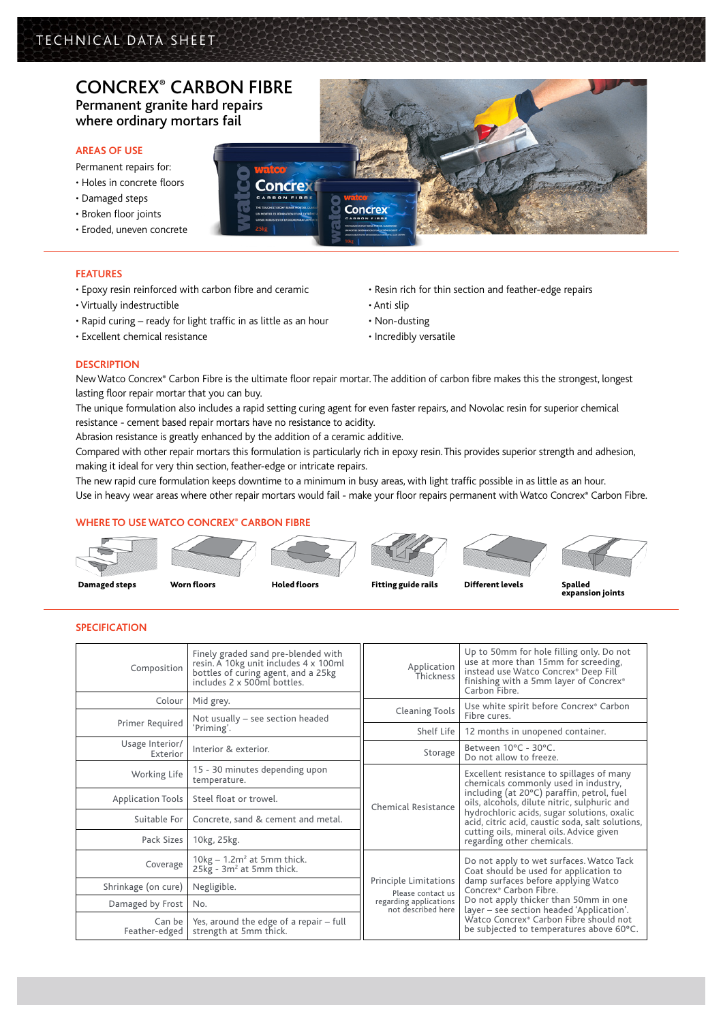# Concrex® Carbon Fibre Permanent granite hard repairs

where ordinary mortars fail

### **AREAS OF USE**

- Permanent repairs for:
- Holes in concrete floors
- Damaged steps
- Broken floor joints
- Eroded, uneven concrete

## **FEATURES**

- Epoxy resin reinforced with carbon fibre and ceramic
- Virtually indestructible
- Rapid curing ready for light traffic in as little as an hour
- Excellent chemical resistance
- Resin rich for thin section and feather-edge repairs
- Anti slip
- Non-dusting
- Incredibly versatile

### **DESCRIPTION**

New Watco Concrex® Carbon Fibre is the ultimate floor repair mortar. The addition of carbon fibre makes this the strongest, longest lasting floor repair mortar that you can buy.

The unique formulation also includes a rapid setting curing agent for even faster repairs, and Novolac resin for superior chemical resistance - cement based repair mortars have no resistance to acidity.

Abrasion resistance is greatly enhanced by the addition of a ceramic additive.

Compared with other repair mortars this formulation is particularly rich in epoxy resin. This provides superior strength and adhesion, making it ideal for very thin section, feather-edge or intricate repairs.

The new rapid cure formulation keeps downtime to a minimum in busy areas, with light traffic possible in as little as an hour. Use in heavy wear areas where other repair mortars would fail - make your floor repairs permanent with Watco Concrex® Carbon Fibre.

# **Where to use Watco Concrex® carbon fibre**



### **Specification**

| Composition                 | Finely graded sand pre-blended with<br>resin. A 10kg unit includes 4 x 100ml<br>bottles of curing agent, and a 25kg<br>includes 2 x 500ml bottles. | Application<br>Thickness                     | Up to 50mm for hole filling only. Do not<br>use at more than 15mm for screeding,<br>instead use Watco Concrex® Deep Fill<br>finishing with a 5mm layer of Concrex®<br>Carbon Fibre.                                                                                                |  |
|-----------------------------|----------------------------------------------------------------------------------------------------------------------------------------------------|----------------------------------------------|------------------------------------------------------------------------------------------------------------------------------------------------------------------------------------------------------------------------------------------------------------------------------------|--|
| Colour                      | Mid grey.                                                                                                                                          | <b>Cleaning Tools</b>                        | Use white spirit before Concrex® Carbon<br>Fibre cures.                                                                                                                                                                                                                            |  |
| Primer Required             | Not usually - see section headed<br>'Priming'.                                                                                                     | Shelf Life                                   | 12 months in unopened container.                                                                                                                                                                                                                                                   |  |
| Usage Interior/<br>Exterior | Interior & exterior.                                                                                                                               | Storage                                      | Between 10°C - 30°C.<br>Do not allow to freeze.                                                                                                                                                                                                                                    |  |
| Working Life                | 15 - 30 minutes depending upon<br>temperature.                                                                                                     |                                              | Excellent resistance to spillages of many<br>chemicals commonly used in industry,<br>including (at 20°C) paraffin, petrol, fuel<br>oils, alcohols, dilute nitric, sulphuric and<br>hydrochloric acids, sugar solutions, oxalic<br>acid, citric acid, caustic soda, salt solutions, |  |
| <b>Application Tools</b>    | Steel float or trowel.                                                                                                                             | Chemical Resistance                          |                                                                                                                                                                                                                                                                                    |  |
| Suitable For                | Concrete, sand & cement and metal.                                                                                                                 |                                              |                                                                                                                                                                                                                                                                                    |  |
| Pack Sizes                  | 10kg, 25kg.                                                                                                                                        |                                              | cutting oils, mineral oils. Advice given<br>regarding other chemicals.                                                                                                                                                                                                             |  |
| Coverage                    | $10kg - 1.2m^2$ at 5mm thick.<br>25kg - 3m <sup>2</sup> at 5mm thick.                                                                              |                                              | Do not apply to wet surfaces. Watco Tack<br>Coat should be used for application to<br>damp surfaces before applying Watco<br>Concrex <sup>®</sup> Carbon Fibre.                                                                                                                    |  |
| Shrinkage (on cure)         | Negligible.                                                                                                                                        | Principle Limitations<br>Please contact us   |                                                                                                                                                                                                                                                                                    |  |
| Damaged by Frost            | No.                                                                                                                                                | regarding applications<br>not described here | Do not apply thicker than 50mm in one<br>layer - see section headed 'Application'.<br>Watco Concrex® Carbon Fibre should not<br>be subjected to temperatures above 60°C.                                                                                                           |  |
| Can be<br>Feather-edged     | Yes, around the edge of a repair - full<br>strength at 5mm thick.                                                                                  |                                              |                                                                                                                                                                                                                                                                                    |  |





expansion joints